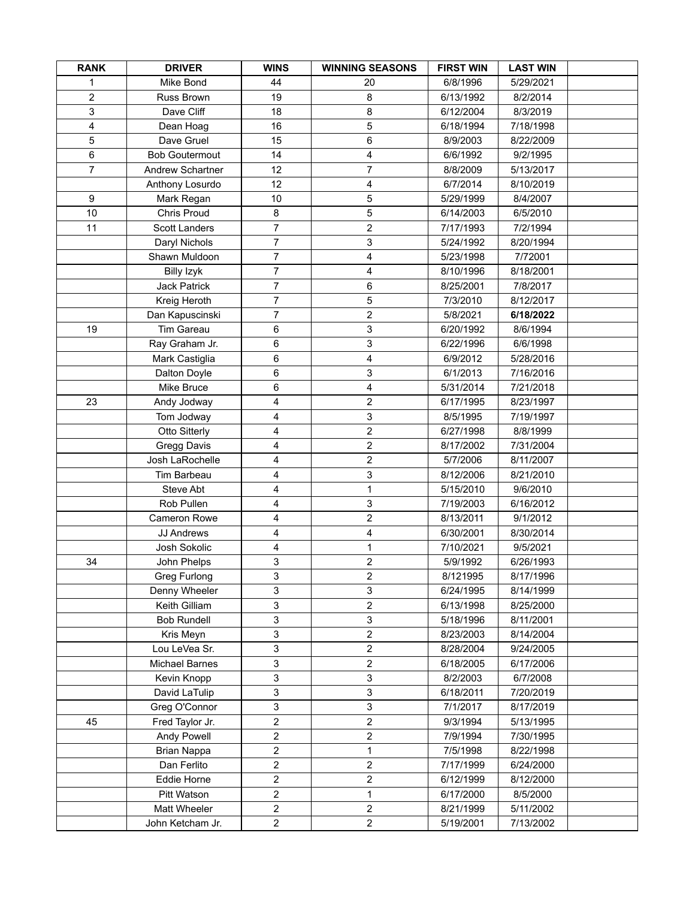| <b>RANK</b>    | <b>DRIVER</b>         | <b>WINS</b>             | <b>WINNING SEASONS</b>    | <b>FIRST WIN</b> | <b>LAST WIN</b> |  |
|----------------|-----------------------|-------------------------|---------------------------|------------------|-----------------|--|
| 1              | Mike Bond             | 44                      | 20                        | 6/8/1996         | 5/29/2021       |  |
| $\overline{2}$ | Russ Brown            | 19                      | 8                         | 6/13/1992        | 8/2/2014        |  |
| 3              | Dave Cliff            | 18                      | 8                         | 6/12/2004        | 8/3/2019        |  |
| 4              | Dean Hoag             | 16                      | 5                         | 6/18/1994        | 7/18/1998       |  |
| 5              | Dave Gruel            | 15                      | 6                         | 8/9/2003         | 8/22/2009       |  |
| 6              | <b>Bob Goutermout</b> | 14                      | 4                         | 6/6/1992         | 9/2/1995        |  |
| $\overline{7}$ | Andrew Schartner      | 12                      | $\overline{7}$            | 8/8/2009         | 5/13/2017       |  |
|                | Anthony Losurdo       | 12                      | 4                         | 6/7/2014         | 8/10/2019       |  |
| 9              | Mark Regan            | 10                      | $\,$ 5 $\,$               | 5/29/1999        | 8/4/2007        |  |
| 10             | Chris Proud           | 8                       | $\sqrt{5}$                | 6/14/2003        | 6/5/2010        |  |
| 11             | <b>Scott Landers</b>  | $\overline{7}$          | $\overline{c}$            | 7/17/1993        | 7/2/1994        |  |
|                | Daryl Nichols         | $\overline{7}$          | 3                         | 5/24/1992        | 8/20/1994       |  |
|                | Shawn Muldoon         | $\overline{7}$          | 4                         | 5/23/1998        | 7/72001         |  |
|                | <b>Billy Izyk</b>     | $\overline{7}$          | 4                         | 8/10/1996        | 8/18/2001       |  |
|                | <b>Jack Patrick</b>   | $\overline{7}$          | 6                         | 8/25/2001        | 7/8/2017        |  |
|                | Kreig Heroth          | $\overline{7}$          | $\,$ 5 $\,$               | 7/3/2010         | 8/12/2017       |  |
|                | Dan Kapuscinski       | $\overline{7}$          | $\overline{2}$            | 5/8/2021         | 6/18/2022       |  |
| 19             | Tim Gareau            | 6                       | 3                         | 6/20/1992        | 8/6/1994        |  |
|                | Ray Graham Jr.        | $\,6\,$                 | 3                         | 6/22/1996        | 6/6/1998        |  |
|                | Mark Castiglia        | 6                       | $\overline{\mathbf{4}}$   | 6/9/2012         | 5/28/2016       |  |
|                | Dalton Doyle          | $\,6\,$                 | 3                         | 6/1/2013         | 7/16/2016       |  |
|                | Mike Bruce            | 6                       | 4                         | 5/31/2014        | 7/21/2018       |  |
| 23             | Andy Jodway           | 4                       | $\boldsymbol{2}$          | 6/17/1995        | 8/23/1997       |  |
|                | Tom Jodway            | 4                       | $\mathsf 3$               | 8/5/1995         | 7/19/1997       |  |
|                | Otto Sitterly         | 4                       | $\mathbf 2$               | 6/27/1998        | 8/8/1999        |  |
|                | Gregg Davis           | 4                       | $\overline{2}$            | 8/17/2002        | 7/31/2004       |  |
|                | Josh LaRochelle       | 4                       | $\boldsymbol{2}$          | 5/7/2006         | 8/11/2007       |  |
|                | Tim Barbeau           | 4                       | 3                         | 8/12/2006        | 8/21/2010       |  |
|                | Steve Abt             | 4                       | 1                         | 5/15/2010        | 9/6/2010        |  |
|                | Rob Pullen            | 4                       | $\ensuremath{\mathsf{3}}$ | 7/19/2003        | 6/16/2012       |  |
|                | Cameron Rowe          | 4                       | $\overline{\mathbf{c}}$   | 8/13/2011        | 9/1/2012        |  |
|                | <b>JJ Andrews</b>     | $\overline{\mathbf{4}}$ | $\overline{\mathbf{4}}$   | 6/30/2001        | 8/30/2014       |  |
|                | Josh Sokolic          | 4                       | 1                         | 7/10/2021        | 9/5/2021        |  |
| 34             | John Phelps           | 3                       | $\overline{2}$            | 5/9/1992         | 6/26/1993       |  |
|                | Greg Furlong          | 3                       | $\overline{2}$            | 8/121995         | 8/17/1996       |  |
|                | Denny Wheeler         | 3                       | 3                         | 6/24/1995        | 8/14/1999       |  |
|                | Keith Gilliam         | 3                       | $\overline{c}$            | 6/13/1998        | 8/25/2000       |  |
|                | <b>Bob Rundell</b>    | 3                       | $\mathsf 3$               | 5/18/1996        | 8/11/2001       |  |
|                | Kris Meyn             | 3                       | $\overline{2}$            | 8/23/2003        | 8/14/2004       |  |
|                | Lou LeVea Sr.         | 3                       | $\boldsymbol{2}$          | 8/28/2004        | 9/24/2005       |  |
|                | <b>Michael Barnes</b> | 3                       | $\overline{c}$            | 6/18/2005        | 6/17/2006       |  |
|                | Kevin Knopp           | 3                       | 3                         | 8/2/2003         | 6/7/2008        |  |
|                | David LaTulip         | 3                       | 3                         | 6/18/2011        | 7/20/2019       |  |
|                | Greg O'Connor         | 3                       | 3                         | 7/1/2017         | 8/17/2019       |  |
| 45             | Fred Taylor Jr.       | $\overline{\mathbf{c}}$ | $\mathbf 2$               | 9/3/1994         | 5/13/1995       |  |
|                | Andy Powell           | $\sqrt{2}$              | $\mathbf 2$               | 7/9/1994         | 7/30/1995       |  |
|                | Brian Nappa           | $\sqrt{2}$              | $\mathbf{1}$              | 7/5/1998         | 8/22/1998       |  |
|                | Dan Ferlito           | $\sqrt{2}$              | $\sqrt{2}$                | 7/17/1999        | 6/24/2000       |  |
|                | Eddie Horne           | $\overline{c}$          | $\boldsymbol{2}$          | 6/12/1999        | 8/12/2000       |  |
|                | Pitt Watson           | $\overline{c}$          | $\mathbf{1}$              | 6/17/2000        | 8/5/2000        |  |
|                | Matt Wheeler          | $\overline{2}$          | $\overline{2}$            | 8/21/1999        | 5/11/2002       |  |
|                | John Ketcham Jr.      | $\overline{c}$          | $\overline{2}$            | 5/19/2001        | 7/13/2002       |  |